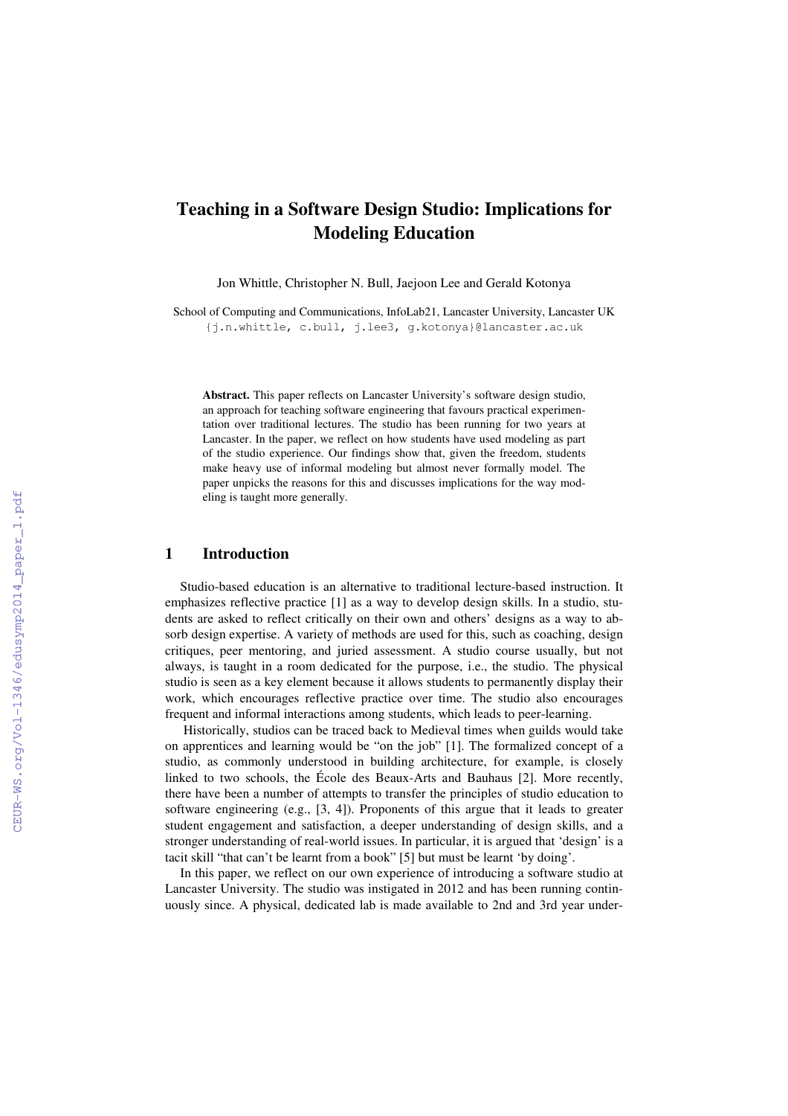# **Teaching in a Software Design Studio: Implications for Modeling Education**

Jon Whittle, Christopher N. Bull, Jaejoon Lee and Gerald Kotonya

School of Computing and Communications, InfoLab21, Lancaster University, Lancaster UK {j.n.whittle, c.bull, j.lee3, g.kotonya}@lancaster.ac.uk

**Abstract.** This paper reflects on Lancaster University's software design studio, an approach for teaching software engineering that favours practical experimentation over traditional lectures. The studio has been running for two years at Lancaster. In the paper, we reflect on how students have used modeling as part of the studio experience. Our findings show that, given the freedom, students make heavy use of informal modeling but almost never formally model. The paper unpicks the reasons for this and discusses implications for the way modeling is taught more generally.

## **1 Introduction**

Studio-based education is an alternative to traditional lecture-based instruction. It emphasizes reflective practice [1] as a way to develop design skills. In a studio, students are asked to reflect critically on their own and others' designs as a way to absorb design expertise. A variety of methods are used for this, such as coaching, design critiques, peer mentoring, and juried assessment. A studio course usually, but not always, is taught in a room dedicated for the purpose, i.e., the studio. The physical studio is seen as a key element because it allows students to permanently display their work, which encourages reflective practice over time. The studio also encourages frequent and informal interactions among students, which leads to peer-learning.

 Historically, studios can be traced back to Medieval times when guilds would take on apprentices and learning would be "on the job" [1]. The formalized concept of a studio, as commonly understood in building architecture, for example, is closely linked to two schools, the École des Beaux-Arts and Bauhaus [2]. More recently, there have been a number of attempts to transfer the principles of studio education to software engineering (e.g., [3, 4]). Proponents of this argue that it leads to greater student engagement and satisfaction, a deeper understanding of design skills, and a stronger understanding of real-world issues. In particular, it is argued that 'design' is a tacit skill "that can't be learnt from a book" [5] but must be learnt 'by doing'.

In this paper, we reflect on our own experience of introducing a software studio at Lancaster University. The studio was instigated in 2012 and has been running continuously since. A physical, dedicated lab is made available to 2nd and 3rd year under-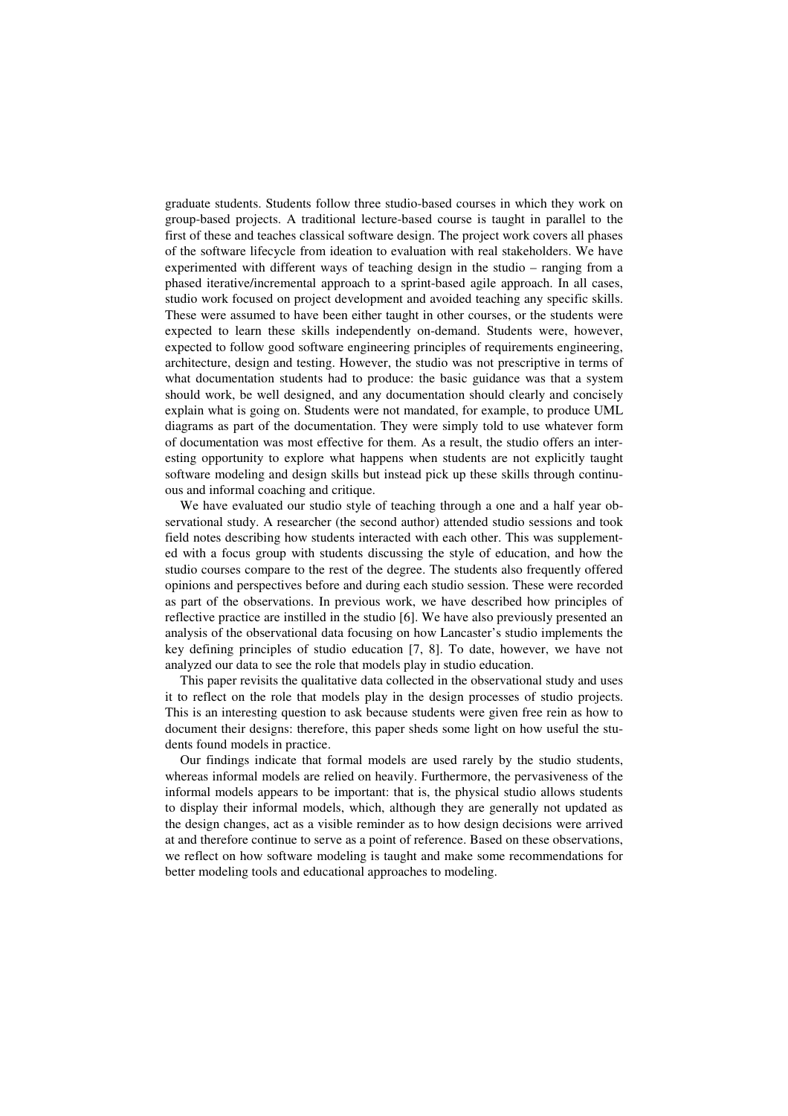graduate students. Students follow three studio-based courses in which they work on group-based projects. A traditional lecture-based course is taught in parallel to the first of these and teaches classical software design. The project work covers all phases of the software lifecycle from ideation to evaluation with real stakeholders. We have experimented with different ways of teaching design in the studio – ranging from a phased iterative/incremental approach to a sprint-based agile approach. In all cases, studio work focused on project development and avoided teaching any specific skills. These were assumed to have been either taught in other courses, or the students were expected to learn these skills independently on-demand. Students were, however, expected to follow good software engineering principles of requirements engineering, architecture, design and testing. However, the studio was not prescriptive in terms of what documentation students had to produce: the basic guidance was that a system should work, be well designed, and any documentation should clearly and concisely explain what is going on. Students were not mandated, for example, to produce UML diagrams as part of the documentation. They were simply told to use whatever form of documentation was most effective for them. As a result, the studio offers an interesting opportunity to explore what happens when students are not explicitly taught software modeling and design skills but instead pick up these skills through continuous and informal coaching and critique.

We have evaluated our studio style of teaching through a one and a half year observational study. A researcher (the second author) attended studio sessions and took field notes describing how students interacted with each other. This was supplemented with a focus group with students discussing the style of education, and how the studio courses compare to the rest of the degree. The students also frequently offered opinions and perspectives before and during each studio session. These were recorded as part of the observations. In previous work, we have described how principles of reflective practice are instilled in the studio [6]. We have also previously presented an analysis of the observational data focusing on how Lancaster's studio implements the key defining principles of studio education [7, 8]. To date, however, we have not analyzed our data to see the role that models play in studio education.

This paper revisits the qualitative data collected in the observational study and uses it to reflect on the role that models play in the design processes of studio projects. This is an interesting question to ask because students were given free rein as how to document their designs: therefore, this paper sheds some light on how useful the students found models in practice.

Our findings indicate that formal models are used rarely by the studio students, whereas informal models are relied on heavily. Furthermore, the pervasiveness of the informal models appears to be important: that is, the physical studio allows students to display their informal models, which, although they are generally not updated as the design changes, act as a visible reminder as to how design decisions were arrived at and therefore continue to serve as a point of reference. Based on these observations, we reflect on how software modeling is taught and make some recommendations for better modeling tools and educational approaches to modeling.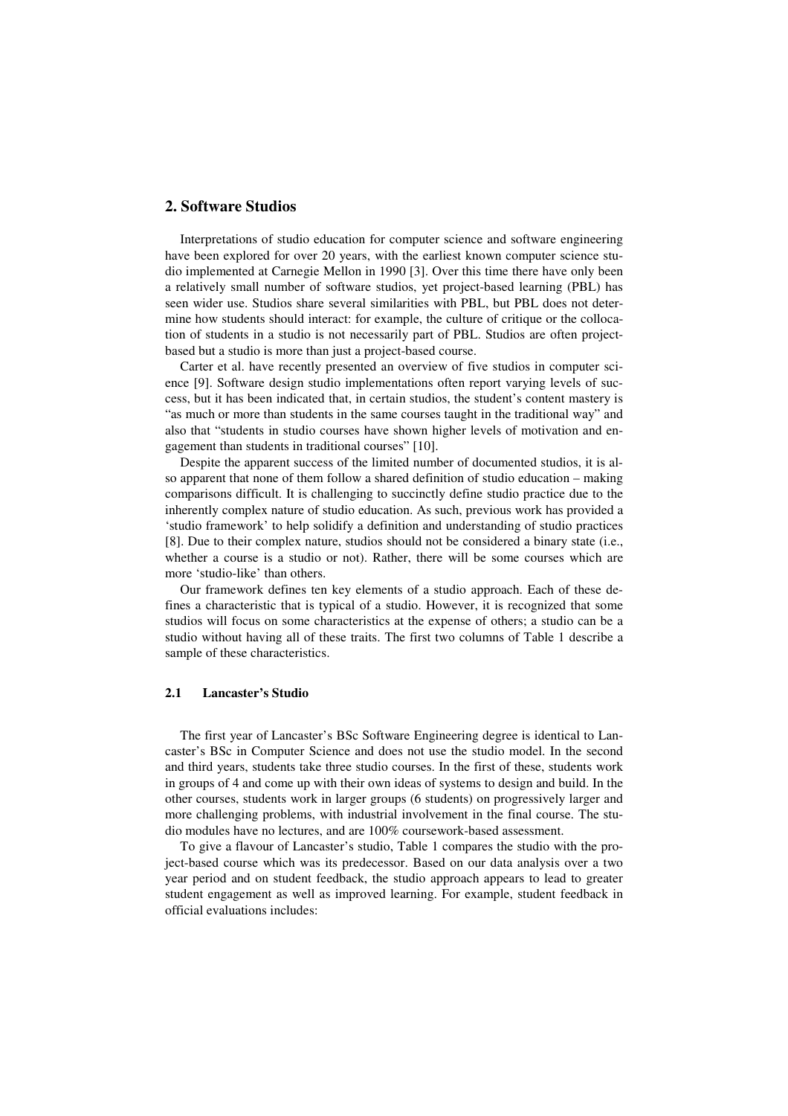# **2. Software Studios**

Interpretations of studio education for computer science and software engineering have been explored for over 20 years, with the earliest known computer science studio implemented at Carnegie Mellon in 1990 [3]. Over this time there have only been a relatively small number of software studios, yet project-based learning (PBL) has seen wider use. Studios share several similarities with PBL, but PBL does not determine how students should interact: for example, the culture of critique or the collocation of students in a studio is not necessarily part of PBL. Studios are often projectbased but a studio is more than just a project-based course.

Carter et al. have recently presented an overview of five studios in computer science [9]. Software design studio implementations often report varying levels of success, but it has been indicated that, in certain studios, the student's content mastery is "as much or more than students in the same courses taught in the traditional way" and also that "students in studio courses have shown higher levels of motivation and engagement than students in traditional courses" [10].

Despite the apparent success of the limited number of documented studios, it is also apparent that none of them follow a shared definition of studio education – making comparisons difficult. It is challenging to succinctly define studio practice due to the inherently complex nature of studio education. As such, previous work has provided a 'studio framework' to help solidify a definition and understanding of studio practices [8]. Due to their complex nature, studios should not be considered a binary state (i.e., whether a course is a studio or not). Rather, there will be some courses which are more 'studio-like' than others.

Our framework defines ten key elements of a studio approach. Each of these defines a characteristic that is typical of a studio. However, it is recognized that some studios will focus on some characteristics at the expense of others; a studio can be a studio without having all of these traits. The first two columns of Table 1 describe a sample of these characteristics.

## **2.1 Lancaster's Studio**

The first year of Lancaster's BSc Software Engineering degree is identical to Lancaster's BSc in Computer Science and does not use the studio model. In the second and third years, students take three studio courses. In the first of these, students work in groups of 4 and come up with their own ideas of systems to design and build. In the other courses, students work in larger groups (6 students) on progressively larger and more challenging problems, with industrial involvement in the final course. The studio modules have no lectures, and are 100% coursework-based assessment.

To give a flavour of Lancaster's studio, Table 1 compares the studio with the project-based course which was its predecessor. Based on our data analysis over a two year period and on student feedback, the studio approach appears to lead to greater student engagement as well as improved learning. For example, student feedback in official evaluations includes: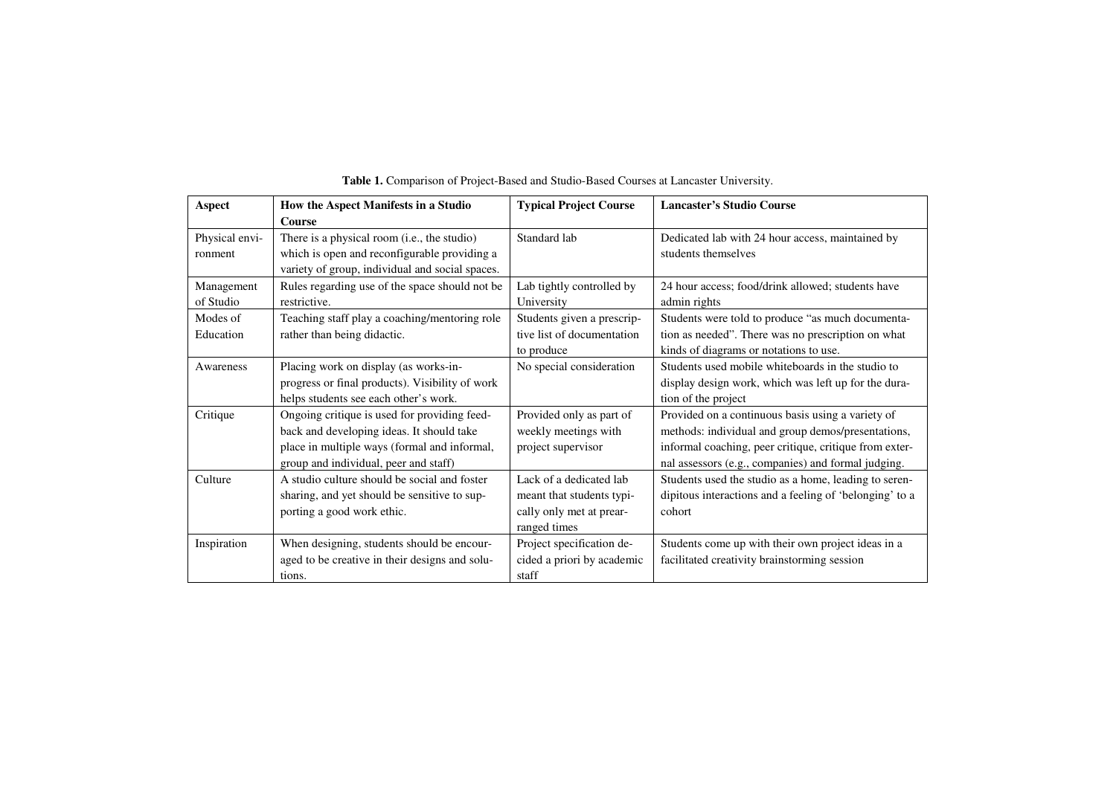| Aspect         | How the Aspect Manifests in a Studio            | <b>Typical Project Course</b> | <b>Lancaster's Studio Course</b>                        |
|----------------|-------------------------------------------------|-------------------------------|---------------------------------------------------------|
|                | Course                                          |                               |                                                         |
| Physical envi- | There is a physical room (i.e., the studio)     | Standard lab                  | Dedicated lab with 24 hour access, maintained by        |
| ronment        | which is open and reconfigurable providing a    |                               | students themselves                                     |
|                | variety of group, individual and social spaces. |                               |                                                         |
| Management     | Rules regarding use of the space should not be  | Lab tightly controlled by     | 24 hour access; food/drink allowed; students have       |
| of Studio      | restrictive.                                    | University                    | admin rights                                            |
| Modes of       | Teaching staff play a coaching/mentoring role   | Students given a prescrip-    | Students were told to produce "as much documenta-       |
| Education      | rather than being didactic.                     | tive list of documentation    | tion as needed". There was no prescription on what      |
|                |                                                 | to produce                    | kinds of diagrams or notations to use.                  |
| Awareness      | Placing work on display (as works-in-           | No special consideration      | Students used mobile whiteboards in the studio to       |
|                | progress or final products). Visibility of work |                               | display design work, which was left up for the dura-    |
|                | helps students see each other's work.           |                               | tion of the project                                     |
| Critique       | Ongoing critique is used for providing feed-    | Provided only as part of      | Provided on a continuous basis using a variety of       |
|                | back and developing ideas. It should take       | weekly meetings with          | methods: individual and group demos/presentations,      |
|                | place in multiple ways (formal and informal,    | project supervisor            | informal coaching, peer critique, critique from exter-  |
|                | group and individual, peer and staff)           |                               | nal assessors (e.g., companies) and formal judging.     |
| Culture        | A studio culture should be social and foster    | Lack of a dedicated lab       | Students used the studio as a home, leading to seren-   |
|                | sharing, and yet should be sensitive to sup-    | meant that students typi-     | dipitous interactions and a feeling of 'belonging' to a |
|                | porting a good work ethic.                      | cally only met at prear-      | cohort                                                  |
|                |                                                 | ranged times                  |                                                         |
| Inspiration    | When designing, students should be encour-      | Project specification de-     | Students come up with their own project ideas in a      |
|                | aged to be creative in their designs and solu-  | cided a priori by academic    | facilitated creativity brainstorming session            |
|                | tions.                                          | staff                         |                                                         |

**Table 1.** Comparison of Project-Based and Studio-Based Courses at Lancaster University.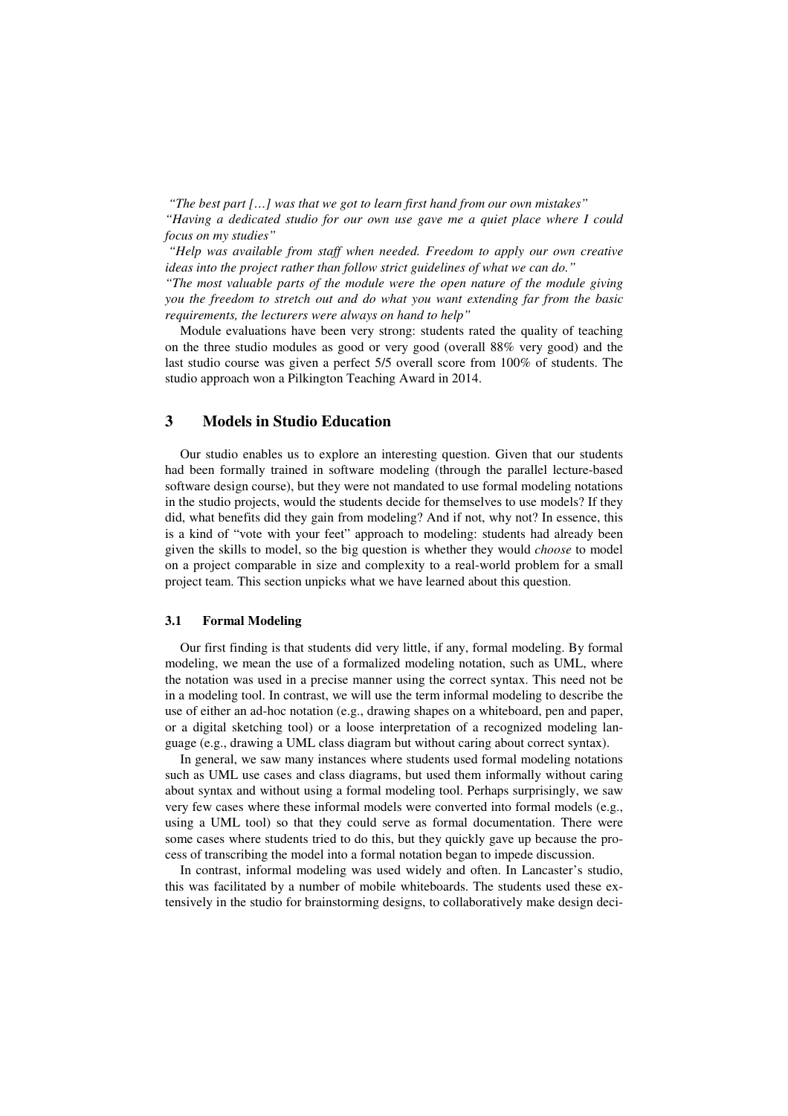*"The best part […] was that we got to learn first hand from our own mistakes" "Having a dedicated studio for our own use gave me a quiet place where I could focus on my studies"* 

 *"Help was available from staff when needed. Freedom to apply our own creative ideas into the project rather than follow strict guidelines of what we can do." "The most valuable parts of the module were the open nature of the module giving you the freedom to stretch out and do what you want extending far from the basic requirements, the lecturers were always on hand to help"*

Module evaluations have been very strong: students rated the quality of teaching on the three studio modules as good or very good (overall 88% very good) and the last studio course was given a perfect 5/5 overall score from 100% of students. The studio approach won a Pilkington Teaching Award in 2014.

## **3 Models in Studio Education**

Our studio enables us to explore an interesting question. Given that our students had been formally trained in software modeling (through the parallel lecture-based software design course), but they were not mandated to use formal modeling notations in the studio projects, would the students decide for themselves to use models? If they did, what benefits did they gain from modeling? And if not, why not? In essence, this is a kind of "vote with your feet" approach to modeling: students had already been given the skills to model, so the big question is whether they would *choose* to model on a project comparable in size and complexity to a real-world problem for a small project team. This section unpicks what we have learned about this question.

#### **3.1 Formal Modeling**

Our first finding is that students did very little, if any, formal modeling. By formal modeling, we mean the use of a formalized modeling notation, such as UML, where the notation was used in a precise manner using the correct syntax. This need not be in a modeling tool. In contrast, we will use the term informal modeling to describe the use of either an ad-hoc notation (e.g., drawing shapes on a whiteboard, pen and paper, or a digital sketching tool) or a loose interpretation of a recognized modeling language (e.g., drawing a UML class diagram but without caring about correct syntax).

In general, we saw many instances where students used formal modeling notations such as UML use cases and class diagrams, but used them informally without caring about syntax and without using a formal modeling tool. Perhaps surprisingly, we saw very few cases where these informal models were converted into formal models (e.g., using a UML tool) so that they could serve as formal documentation. There were some cases where students tried to do this, but they quickly gave up because the process of transcribing the model into a formal notation began to impede discussion.

In contrast, informal modeling was used widely and often. In Lancaster's studio, this was facilitated by a number of mobile whiteboards. The students used these extensively in the studio for brainstorming designs, to collaboratively make design deci-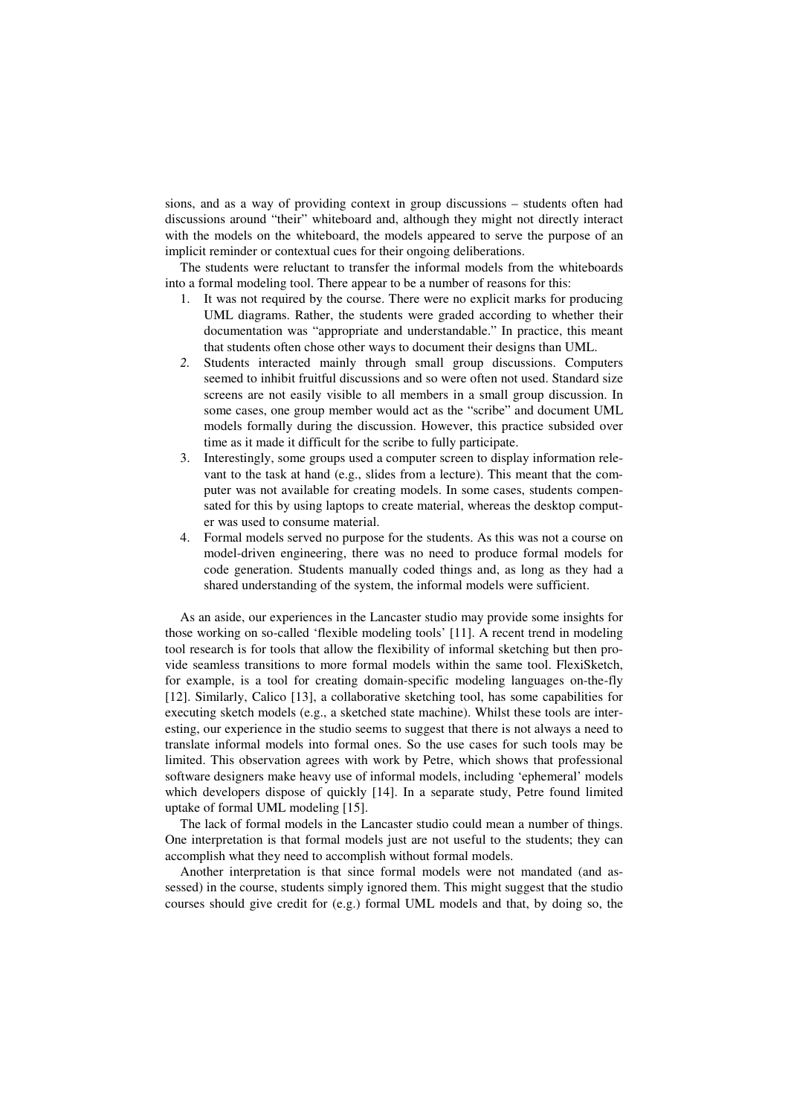sions, and as a way of providing context in group discussions – students often had discussions around "their" whiteboard and, although they might not directly interact with the models on the whiteboard, the models appeared to serve the purpose of an implicit reminder or contextual cues for their ongoing deliberations.

The students were reluctant to transfer the informal models from the whiteboards into a formal modeling tool. There appear to be a number of reasons for this:

- 1. It was not required by the course. There were no explicit marks for producing UML diagrams. Rather, the students were graded according to whether their documentation was "appropriate and understandable." In practice, this meant that students often chose other ways to document their designs than UML.
- *2.* Students interacted mainly through small group discussions. Computers seemed to inhibit fruitful discussions and so were often not used. Standard size screens are not easily visible to all members in a small group discussion. In some cases, one group member would act as the "scribe" and document UML models formally during the discussion. However, this practice subsided over time as it made it difficult for the scribe to fully participate.
- 3. Interestingly, some groups used a computer screen to display information relevant to the task at hand (e.g., slides from a lecture). This meant that the computer was not available for creating models. In some cases, students compensated for this by using laptops to create material, whereas the desktop computer was used to consume material.
- 4. Formal models served no purpose for the students. As this was not a course on model-driven engineering, there was no need to produce formal models for code generation. Students manually coded things and, as long as they had a shared understanding of the system, the informal models were sufficient.

As an aside, our experiences in the Lancaster studio may provide some insights for those working on so-called 'flexible modeling tools' [11]. A recent trend in modeling tool research is for tools that allow the flexibility of informal sketching but then provide seamless transitions to more formal models within the same tool. FlexiSketch, for example, is a tool for creating domain-specific modeling languages on-the-fly [12]. Similarly, Calico [13], a collaborative sketching tool, has some capabilities for executing sketch models (e.g., a sketched state machine). Whilst these tools are interesting, our experience in the studio seems to suggest that there is not always a need to translate informal models into formal ones. So the use cases for such tools may be limited. This observation agrees with work by Petre, which shows that professional software designers make heavy use of informal models, including 'ephemeral' models which developers dispose of quickly [14]. In a separate study, Petre found limited uptake of formal UML modeling [15].

The lack of formal models in the Lancaster studio could mean a number of things. One interpretation is that formal models just are not useful to the students; they can accomplish what they need to accomplish without formal models.

Another interpretation is that since formal models were not mandated (and assessed) in the course, students simply ignored them. This might suggest that the studio courses should give credit for (e.g.) formal UML models and that, by doing so, the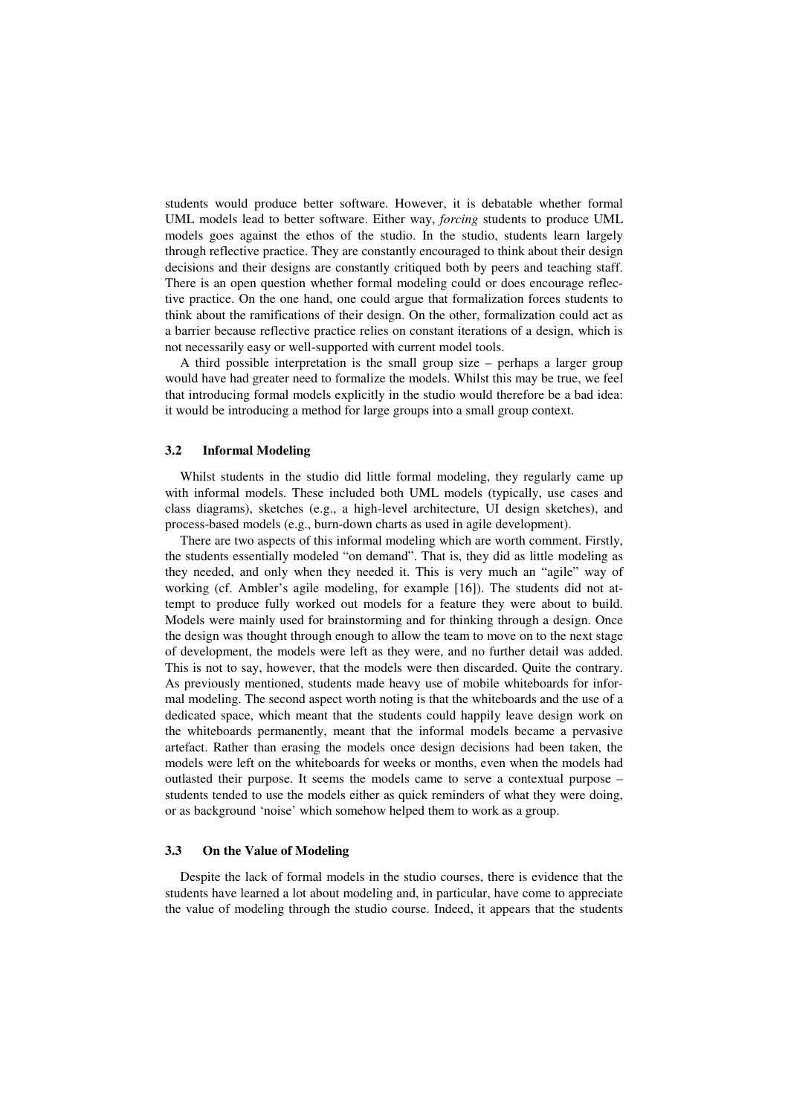students would produce better software. However, it is debatable whether formal UML models lead to better software. Either way, *forcing* students to produce UML models goes against the ethos of the studio. In the studio, students learn largely through reflective practice. They are constantly encouraged to think about their design decisions and their designs are constantly critiqued both by peers and teaching staff. There is an open question whether formal modeling could or does encourage reflective practice. On the one hand, one could argue that formalization forces students to think about the ramifications of their design. On the other, formalization could act as a barrier because reflective practice relies on constant iterations of a design, which is not necessarily easy or well-supported with current model tools.

A third possible interpretation is the small group size – perhaps a larger group would have had greater need to formalize the models. Whilst this may be true, we feel that introducing formal models explicitly in the studio would therefore be a bad idea: it would be introducing a method for large groups into a small group context.

#### **3.2 Informal Modeling**

Whilst students in the studio did little formal modeling, they regularly came up with informal models. These included both UML models (typically, use cases and class diagrams), sketches (e.g., a high-level architecture, UI design sketches), and process-based models (e.g., burn-down charts as used in agile development).

There are two aspects of this informal modeling which are worth comment. Firstly, the students essentially modeled "on demand". That is, they did as little modeling as they needed, and only when they needed it. This is very much an "agile" way of working (cf. Ambler's agile modeling, for example [16]). The students did not attempt to produce fully worked out models for a feature they were about to build. Models were mainly used for brainstorming and for thinking through a design. Once the design was thought through enough to allow the team to move on to the next stage of development, the models were left as they were, and no further detail was added. This is not to say, however, that the models were then discarded. Quite the contrary. As previously mentioned, students made heavy use of mobile whiteboards for informal modeling. The second aspect worth noting is that the whiteboards and the use of a dedicated space, which meant that the students could happily leave design work on the whiteboards permanently, meant that the informal models became a pervasive artefact. Rather than erasing the models once design decisions had been taken, the models were left on the whiteboards for weeks or months, even when the models had outlasted their purpose. It seems the models came to serve a contextual purpose – students tended to use the models either as quick reminders of what they were doing, or as background 'noise' which somehow helped them to work as a group.

#### **3.3 On the Value of Modeling**

Despite the lack of formal models in the studio courses, there is evidence that the students have learned a lot about modeling and, in particular, have come to appreciate the value of modeling through the studio course. Indeed, it appears that the students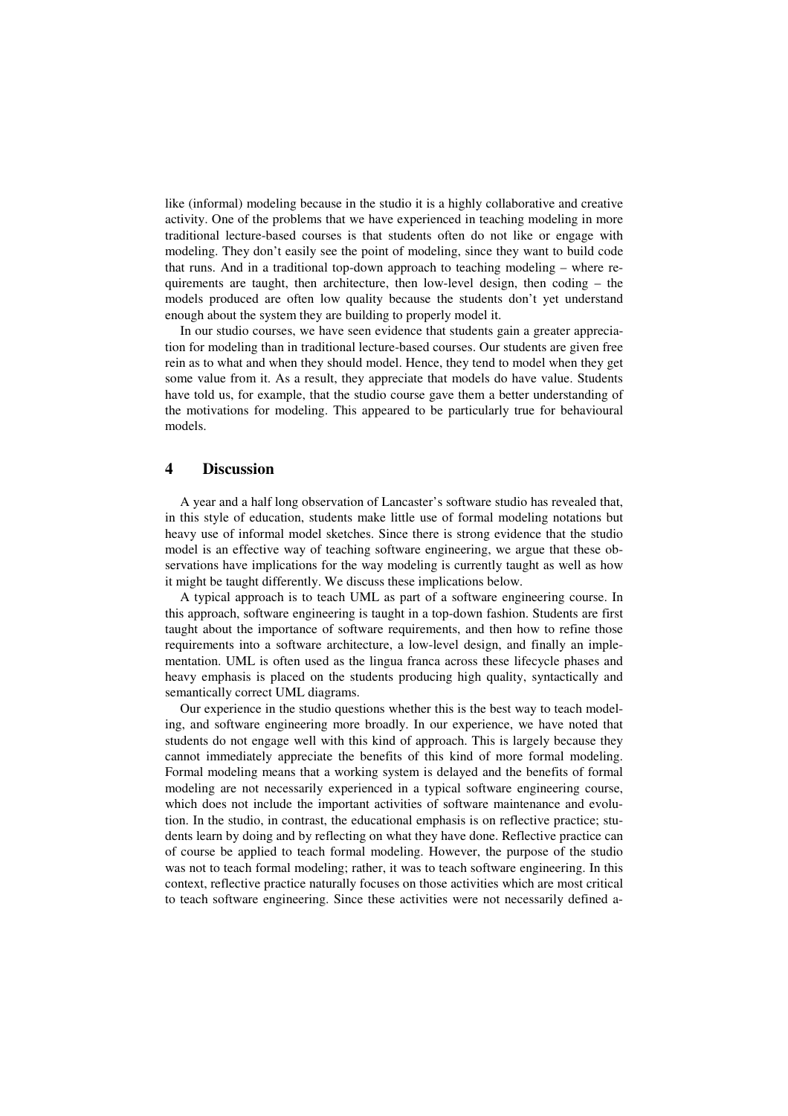like (informal) modeling because in the studio it is a highly collaborative and creative activity. One of the problems that we have experienced in teaching modeling in more traditional lecture-based courses is that students often do not like or engage with modeling. They don't easily see the point of modeling, since they want to build code that runs. And in a traditional top-down approach to teaching modeling – where requirements are taught, then architecture, then low-level design, then coding – the models produced are often low quality because the students don't yet understand enough about the system they are building to properly model it.

In our studio courses, we have seen evidence that students gain a greater appreciation for modeling than in traditional lecture-based courses. Our students are given free rein as to what and when they should model. Hence, they tend to model when they get some value from it. As a result, they appreciate that models do have value. Students have told us, for example, that the studio course gave them a better understanding of the motivations for modeling. This appeared to be particularly true for behavioural models.

## **4 Discussion**

A year and a half long observation of Lancaster's software studio has revealed that, in this style of education, students make little use of formal modeling notations but heavy use of informal model sketches. Since there is strong evidence that the studio model is an effective way of teaching software engineering, we argue that these observations have implications for the way modeling is currently taught as well as how it might be taught differently. We discuss these implications below.

A typical approach is to teach UML as part of a software engineering course. In this approach, software engineering is taught in a top-down fashion. Students are first taught about the importance of software requirements, and then how to refine those requirements into a software architecture, a low-level design, and finally an implementation. UML is often used as the lingua franca across these lifecycle phases and heavy emphasis is placed on the students producing high quality, syntactically and semantically correct UML diagrams.

Our experience in the studio questions whether this is the best way to teach modeling, and software engineering more broadly. In our experience, we have noted that students do not engage well with this kind of approach. This is largely because they cannot immediately appreciate the benefits of this kind of more formal modeling. Formal modeling means that a working system is delayed and the benefits of formal modeling are not necessarily experienced in a typical software engineering course, which does not include the important activities of software maintenance and evolution. In the studio, in contrast, the educational emphasis is on reflective practice; students learn by doing and by reflecting on what they have done. Reflective practice can of course be applied to teach formal modeling. However, the purpose of the studio was not to teach formal modeling; rather, it was to teach software engineering. In this context, reflective practice naturally focuses on those activities which are most critical to teach software engineering. Since these activities were not necessarily defined a-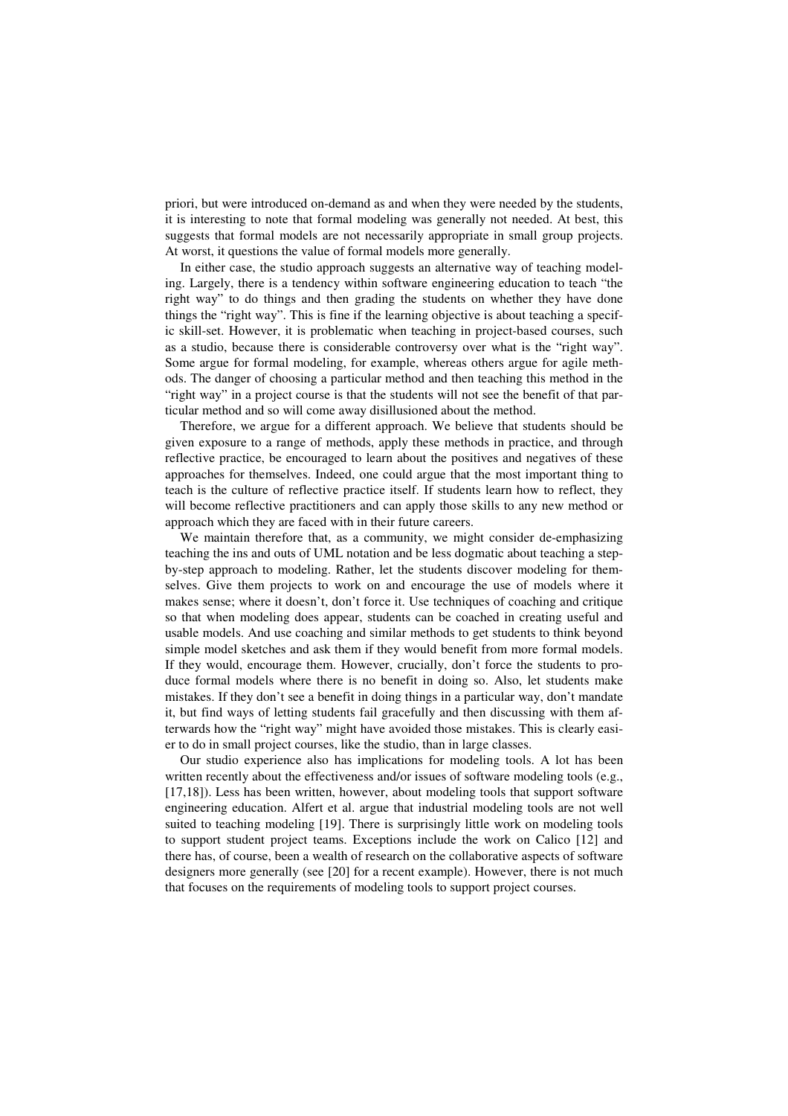priori, but were introduced on-demand as and when they were needed by the students, it is interesting to note that formal modeling was generally not needed. At best, this suggests that formal models are not necessarily appropriate in small group projects. At worst, it questions the value of formal models more generally.

In either case, the studio approach suggests an alternative way of teaching modeling. Largely, there is a tendency within software engineering education to teach "the right way" to do things and then grading the students on whether they have done things the "right way". This is fine if the learning objective is about teaching a specific skill-set. However, it is problematic when teaching in project-based courses, such as a studio, because there is considerable controversy over what is the "right way". Some argue for formal modeling, for example, whereas others argue for agile methods. The danger of choosing a particular method and then teaching this method in the "right way" in a project course is that the students will not see the benefit of that particular method and so will come away disillusioned about the method.

Therefore, we argue for a different approach. We believe that students should be given exposure to a range of methods, apply these methods in practice, and through reflective practice, be encouraged to learn about the positives and negatives of these approaches for themselves. Indeed, one could argue that the most important thing to teach is the culture of reflective practice itself. If students learn how to reflect, they will become reflective practitioners and can apply those skills to any new method or approach which they are faced with in their future careers.

We maintain therefore that, as a community, we might consider de-emphasizing teaching the ins and outs of UML notation and be less dogmatic about teaching a stepby-step approach to modeling. Rather, let the students discover modeling for themselves. Give them projects to work on and encourage the use of models where it makes sense; where it doesn't, don't force it. Use techniques of coaching and critique so that when modeling does appear, students can be coached in creating useful and usable models. And use coaching and similar methods to get students to think beyond simple model sketches and ask them if they would benefit from more formal models. If they would, encourage them. However, crucially, don't force the students to produce formal models where there is no benefit in doing so. Also, let students make mistakes. If they don't see a benefit in doing things in a particular way, don't mandate it, but find ways of letting students fail gracefully and then discussing with them afterwards how the "right way" might have avoided those mistakes. This is clearly easier to do in small project courses, like the studio, than in large classes.

Our studio experience also has implications for modeling tools. A lot has been written recently about the effectiveness and/or issues of software modeling tools (e.g., [17,18]). Less has been written, however, about modeling tools that support software engineering education. Alfert et al. argue that industrial modeling tools are not well suited to teaching modeling [19]. There is surprisingly little work on modeling tools to support student project teams. Exceptions include the work on Calico [12] and there has, of course, been a wealth of research on the collaborative aspects of software designers more generally (see [20] for a recent example). However, there is not much that focuses on the requirements of modeling tools to support project courses.